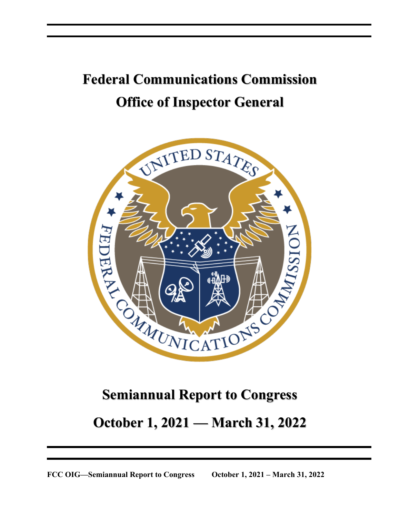# **Federal Communications Commission Office of Inspector General**



## **Semiannual Report to Congress**

## **October 1, 2021 — March 31, 2022**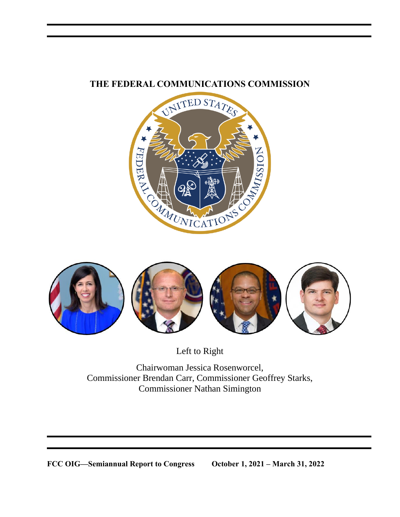## **THE FEDERAL COMMUNICATIONS COMMISSION**





Left to Right

Chairwoman Jessica Rosenworcel, Commissioner Brendan Carr, Commissioner Geoffrey Starks, Commissioner Nathan Simington

**FCC OIG—Semiannual Report to Congress October 1, 2021 – March 31, 2022**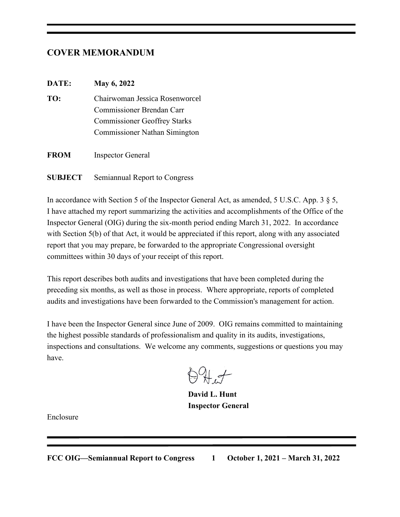## **COVER MEMORANDUM**

#### **DATE: May 6, 2022**

- **TO:** Chairwoman Jessica Rosenworcel Commissioner Brendan Carr Commissioner Geoffrey Starks Commissioner Nathan Simington
- **FROM** Inspector General
- **SUBJECT** Semiannual Report to Congress

In accordance with Section 5 of the Inspector General Act, as amended, 5 U.S.C. App. 3 § 5, I have attached my report summarizing the activities and accomplishments of the Office of the Inspector General (OIG) during the six-month period ending March 31, 2022. In accordance with Section 5(b) of that Act, it would be appreciated if this report, along with any associated report that you may prepare, be forwarded to the appropriate Congressional oversight committees within 30 days of your receipt of this report.

This report describes both audits and investigations that have been completed during the preceding six months, as well as those in process. Where appropriate, reports of completed audits and investigations have been forwarded to the Commission's management for action.

I have been the Inspector General since June of 2009. OIG remains committed to maintaining the highest possible standards of professionalism and quality in its audits, investigations, inspections and consultations. We welcome any comments, suggestions or questions you may have.

 $794.7$ 

**David L. Hunt Inspector General**

Enclosure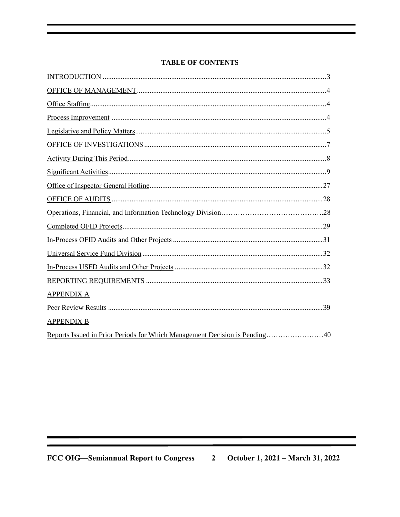#### **TABLE OF CONTENTS**

| <b>APPENDIX A</b> |  |
|-------------------|--|
|                   |  |
| <b>APPENDIX B</b> |  |
|                   |  |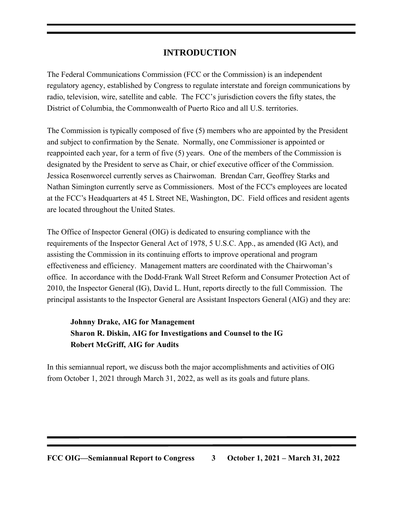## **INTRODUCTION**

The Federal Communications Commission (FCC or the Commission) is an independent regulatory agency, established by Congress to regulate interstate and foreign communications by radio, television, wire, satellite and cable. The FCC's jurisdiction covers the fifty states, the District of Columbia, the Commonwealth of Puerto Rico and all U.S. territories.

The Commission is typically composed of five (5) members who are appointed by the President and subject to confirmation by the Senate. Normally, one Commissioner is appointed or reappointed each year, for a term of five (5) years. One of the members of the Commission is designated by the President to serve as Chair, or chief executive officer of the Commission. Jessica Rosenworcel currently serves as Chairwoman. Brendan Carr, Geoffrey Starks and Nathan Simington currently serve as Commissioners. Most of the FCC's employees are located at the FCC's Headquarters at 45 L Street NE, Washington, DC. Field offices and resident agents are located throughout the United States.

The Office of Inspector General (OIG) is dedicated to ensuring compliance with the requirements of the Inspector General Act of 1978, 5 U.S.C. App., as amended (IG Act), and assisting the Commission in its continuing efforts to improve operational and program effectiveness and efficiency. Management matters are coordinated with the Chairwoman's office. In accordance with the Dodd-Frank Wall Street Reform and Consumer Protection Act of 2010, the Inspector General (IG), David L. Hunt, reports directly to the full Commission. The principal assistants to the Inspector General are Assistant Inspectors General (AIG) and they are:

## **Johnny Drake, AIG for Management Sharon R. Diskin, AIG for Investigations and Counsel to the IG Robert McGriff, AIG for Audits**

In this semiannual report, we discuss both the major accomplishments and activities of OIG from October 1, 2021 through March 31, 2022, as well as its goals and future plans.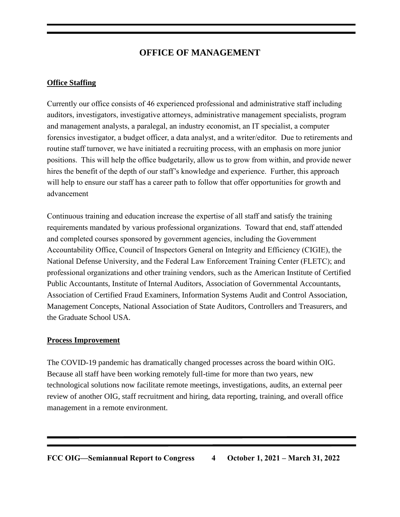## **OFFICE OF MANAGEMENT**

#### **Office Staffing**

Currently our office consists of 46 experienced professional and administrative staff including auditors, investigators, investigative attorneys, administrative management specialists, program and management analysts, a paralegal, an industry economist, an IT specialist, a computer forensics investigator, a budget officer, a data analyst, and a writer/editor. Due to retirements and routine staff turnover, we have initiated a recruiting process, with an emphasis on more junior positions. This will help the office budgetarily, allow us to grow from within, and provide newer hires the benefit of the depth of our staff's knowledge and experience. Further, this approach will help to ensure our staff has a career path to follow that offer opportunities for growth and advancement

Continuous training and education increase the expertise of all staff and satisfy the training requirements mandated by various professional organizations. Toward that end, staff attended and completed courses sponsored by government agencies, including the Government Accountability Office, Council of Inspectors General on Integrity and Efficiency (CIGIE), the National Defense University, and the Federal Law Enforcement Training Center (FLETC); and professional organizations and other training vendors, such as the American Institute of Certified Public Accountants, Institute of Internal Auditors, Association of Governmental Accountants, Association of Certified Fraud Examiners, Information Systems Audit and Control Association, Management Concepts, National Association of State Auditors, Controllers and Treasurers, and the Graduate School USA.

#### **Process Improvement**

The COVID-19 pandemic has dramatically changed processes across the board within OIG. Because all staff have been working remotely full-time for more than two years, new technological solutions now facilitate remote meetings, investigations, audits, an external peer review of another OIG, staff recruitment and hiring, data reporting, training, and overall office management in a remote environment.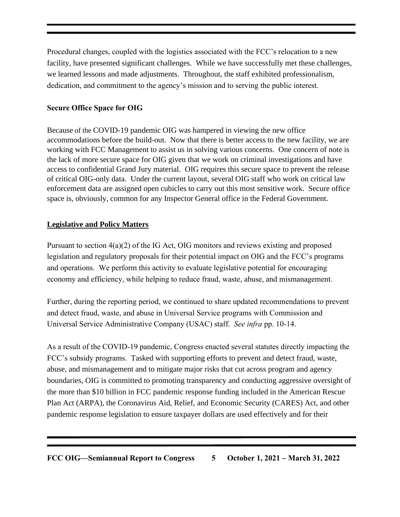Procedural changes, coupled with the logistics associated with the FCC's relocation to a new facility, have presented significant challenges. While we have successfully met these challenges, we learned lessons and made adjustments. Throughout, the staff exhibited professionalism, dedication, and commitment to the agency's mission and to serving the public interest.

#### **Secure Office Space for OIG**

Because of the COVID-19 pandemic OIG was hampered in viewing the new office accommodations before the build-out. Now that there is better access to the new facility, we are working with FCC Management to assist us in solving various concerns. One concern of note is the lack of more secure space for OIG given that we work on criminal investigations and have access to confidential Grand Jury material. OIG requires this secure space to prevent the release of critical OIG-only data. Under the current layout, several OIG staff who work on critical law enforcement data are assigned open cubicles to carry out this most sensitive work. Secure office space is, obviously, common for any Inspector General office in the Federal Government.

### **Legislative and Policy Matters**

Pursuant to section 4(a)(2) of the IG Act, OIG monitors and reviews existing and proposed legislation and regulatory proposals for their potential impact on OIG and the FCC's programs and operations. We perform this activity to evaluate legislative potential for encouraging economy and efficiency, while helping to reduce fraud, waste, abuse, and mismanagement.

Further, during the reporting period, we continued to share updated recommendations to prevent and detect fraud, waste, and abuse in Universal Service programs with Commission and Universal Service Administrative Company (USAC) staff. *See infra* pp. 10-14.

As a result of the COVID-19 pandemic, Congress enacted several statutes directly impacting the FCC's subsidy programs. Tasked with supporting efforts to prevent and detect fraud, waste, abuse, and mismanagement and to mitigate major risks that cut across program and agency boundaries, OIG is committed to promoting transparency and conducting aggressive oversight of the more than \$10 billion in FCC pandemic response funding included in the American Rescue Plan Act (ARPA), the Coronavirus Aid, Relief, and Economic Security (CARES) Act, and other pandemic response legislation to ensure taxpayer dollars are used effectively and for their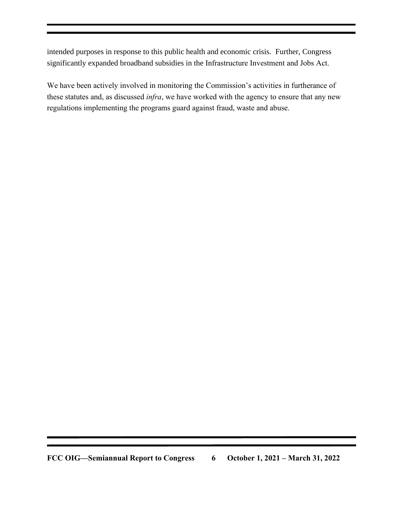intended purposes in response to this public health and economic crisis. Further, Congress significantly expanded broadband subsidies in the Infrastructure Investment and Jobs Act.

We have been actively involved in monitoring the Commission's activities in furtherance of these statutes and, as discussed *infra*, we have worked with the agency to ensure that any new regulations implementing the programs guard against fraud, waste and abuse.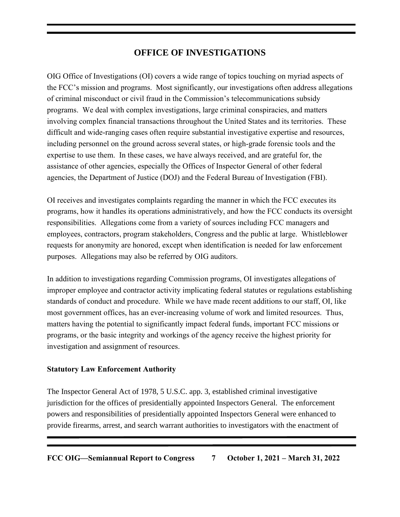## **OFFICE OF INVESTIGATIONS**

OIG Office of Investigations (OI) covers a wide range of topics touching on myriad aspects of the FCC's mission and programs. Most significantly, our investigations often address allegations of criminal misconduct or civil fraud in the Commission's telecommunications subsidy programs. We deal with complex investigations, large criminal conspiracies, and matters involving complex financial transactions throughout the United States and its territories. These difficult and wide-ranging cases often require substantial investigative expertise and resources, including personnel on the ground across several states, or high-grade forensic tools and the expertise to use them. In these cases, we have always received, and are grateful for, the assistance of other agencies, especially the Offices of Inspector General of other federal agencies, the Department of Justice (DOJ) and the Federal Bureau of Investigation (FBI).

OI receives and investigates complaints regarding the manner in which the FCC executes its programs, how it handles its operations administratively, and how the FCC conducts its oversight responsibilities. Allegations come from a variety of sources including FCC managers and employees, contractors, program stakeholders, Congress and the public at large. Whistleblower requests for anonymity are honored, except when identification is needed for law enforcement purposes. Allegations may also be referred by OIG auditors.

In addition to investigations regarding Commission programs, OI investigates allegations of improper employee and contractor activity implicating federal statutes or regulations establishing standards of conduct and procedure. While we have made recent additions to our staff, OI, like most government offices, has an ever-increasing volume of work and limited resources. Thus, matters having the potential to significantly impact federal funds, important FCC missions or programs, or the basic integrity and workings of the agency receive the highest priority for investigation and assignment of resources.

#### **Statutory Law Enforcement Authority**

The Inspector General Act of 1978, 5 U.S.C. app. 3, established criminal investigative jurisdiction for the offices of presidentially appointed Inspectors General. The enforcement powers and responsibilities of presidentially appointed Inspectors General were enhanced to provide firearms, arrest, and search warrant authorities to investigators with the enactment of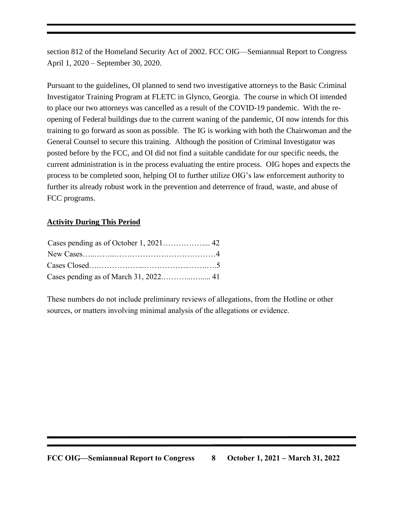section 812 of the Homeland Security Act of 2002. FCC OIG—Semiannual Report to Congress April 1, 2020 – September 30, 2020.

Pursuant to the guidelines, OI planned to send two investigative attorneys to the Basic Criminal Investigator Training Program at FLETC in Glynco, Georgia. The course in which OI intended to place our two attorneys was cancelled as a result of the COVID-19 pandemic. With the reopening of Federal buildings due to the current waning of the pandemic, OI now intends for this training to go forward as soon as possible. The IG is working with both the Chairwoman and the General Counsel to secure this training. Although the position of Criminal Investigator was posted before by the FCC, and OI did not find a suitable candidate for our specific needs, the current administration is in the process evaluating the entire process. OIG hopes and expects the process to be completed soon, helping OI to further utilize OIG's law enforcement authority to further its already robust work in the prevention and deterrence of fraud, waste, and abuse of FCC programs.

#### **Activity During This Period**

These numbers do not include preliminary reviews of allegations, from the Hotline or other sources, or matters involving minimal analysis of the allegations or evidence.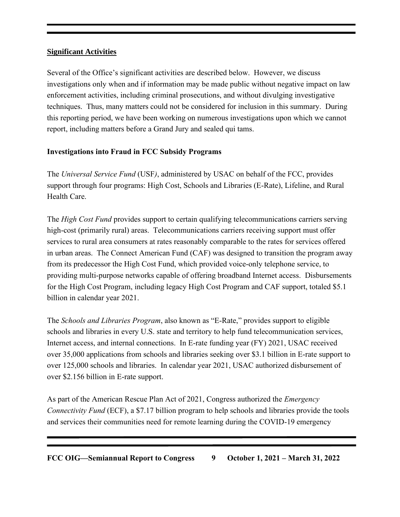#### **Significant Activities**

Several of the Office's significant activities are described below. However, we discuss investigations only when and if information may be made public without negative impact on law enforcement activities, including criminal prosecutions, and without divulging investigative techniques. Thus, many matters could not be considered for inclusion in this summary. During this reporting period, we have been working on numerous investigations upon which we cannot report, including matters before a Grand Jury and sealed qui tams.

#### **Investigations into Fraud in FCC Subsidy Programs**

The *Universal Service Fund* (USF*)*, administered by USAC on behalf of the FCC, provides support through four programs: High Cost, Schools and Libraries (E-Rate), Lifeline, and Rural Health Care.

The *High Cost Fund* provides support to certain qualifying telecommunications carriers serving high-cost (primarily rural) areas. Telecommunications carriers receiving support must offer services to rural area consumers at rates reasonably comparable to the rates for services offered in urban areas. The Connect American Fund (CAF) was designed to transition the program away from its predecessor the High Cost Fund, which provided voice-only telephone service, to providing multi-purpose networks capable of offering broadband Internet access. Disbursements for the High Cost Program, including legacy High Cost Program and CAF support, totaled \$5.1 billion in calendar year 2021.

The *Schools and Libraries Program*, also known as "E-Rate," provides support to eligible schools and libraries in every U.S. state and territory to help fund telecommunication services, Internet access, and internal connections. In E-rate funding year (FY) 2021, USAC received over 35,000 applications from schools and libraries seeking over \$3.1 billion in E-rate support to over 125,000 schools and libraries. In calendar year 2021, USAC authorized disbursement of over \$2.156 billion in E-rate support.

As part of the American Rescue Plan Act of 2021, Congress authorized the *Emergency Connectivity Fund* (ECF), a \$7.17 billion program to help schools and libraries provide the tools and services their communities need for remote learning during the COVID-19 emergency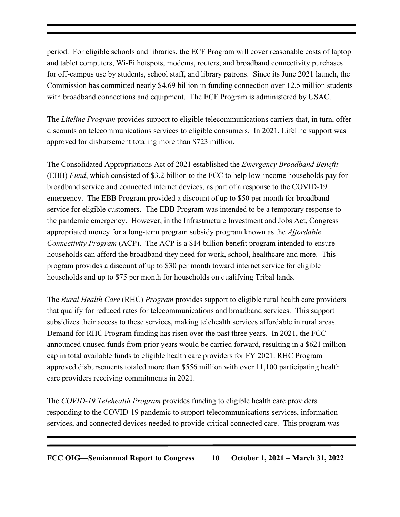period. For eligible schools and libraries, the ECF Program will cover reasonable costs of laptop and tablet computers, Wi-Fi hotspots, modems, routers, and broadband connectivity purchases for off-campus use by students, school staff, and library patrons. Since its June 2021 launch, the Commission has committed nearly \$4.69 billion in funding connection over 12.5 million students with broadband connections and equipment. The ECF Program is administered by USAC.

The *Lifeline Program* provides support to eligible telecommunications carriers that, in turn, offer discounts on telecommunications services to eligible consumers. In 2021, Lifeline support was approved for disbursement totaling more than \$723 million.

The Consolidated Appropriations Act of 2021 established the *Emergency Broadband Benefit*  (EBB) *Fund*, which consisted of \$3.2 billion to the FCC to help low-income households pay for broadband service and connected internet devices, as part of a response to the COVID-19 emergency. The EBB Program provided a discount of up to \$50 per month for broadband service for eligible customers. The EBB Program was intended to be a temporary response to the pandemic emergency. However, in the Infrastructure Investment and Jobs Act, Congress appropriated money for a long-term program subsidy program known as the *Affordable Connectivity Program* (ACP). The ACP is a \$14 billion benefit program intended to ensure households can afford the broadband they need for work, school, healthcare and more. This program provides a discount of up to \$30 per month toward internet service for eligible households and up to \$75 per month for households on qualifying Tribal lands.

The *Rural Health Care* (RHC) *Program* provides support to eligible rural health care providers that qualify for reduced rates for telecommunications and broadband services. This support subsidizes their access to these services, making telehealth services affordable in rural areas. Demand for RHC Program funding has risen over the past three years. In 2021, the FCC announced unused funds from prior years would be carried forward, resulting in a \$621 million cap in total available funds to eligible health care providers for FY 2021. RHC Program approved disbursements totaled more than \$556 million with over 11,100 participating health care providers receiving commitments in 2021.

The *COVID-19 Telehealth Program* provides funding to eligible health care providers responding to the COVID-19 pandemic to support telecommunications services, information services, and connected devices needed to provide critical connected care. This program was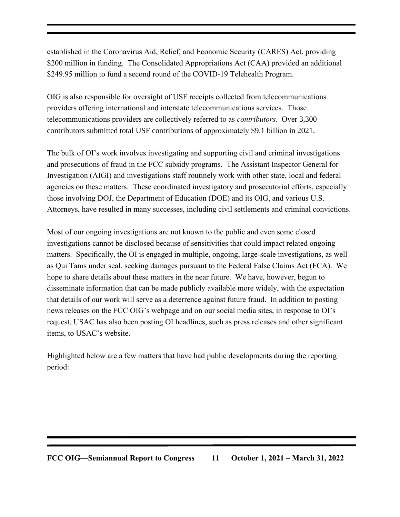established in the Coronavirus Aid, Relief, and Economic Security (CARES) Act, providing \$200 million in funding. The Consolidated Appropriations Act (CAA) provided an additional \$249.95 million to fund a second round of the COVID-19 Telehealth Program.

OIG is also responsible for oversight of USF receipts collected from telecommunications providers offering international and interstate telecommunications services. Those telecommunications providers are collectively referred to as *contributors.* Over 3,300 contributors submitted total USF contributions of approximately \$9.1 billion in 2021.

The bulk of OI's work involves investigating and supporting civil and criminal investigations and prosecutions of fraud in the FCC subsidy programs. The Assistant Inspector General for Investigation (AIGI) and investigations staff routinely work with other state, local and federal agencies on these matters. These coordinated investigatory and prosecutorial efforts, especially those involving DOJ, the Department of Education (DOE) and its OIG, and various U.S. Attorneys, have resulted in many successes, including civil settlements and criminal convictions.

Most of our ongoing investigations are not known to the public and even some closed investigations cannot be disclosed because of sensitivities that could impact related ongoing matters. Specifically, the OI is engaged in multiple, ongoing, large-scale investigations, as well as Qui Tams under seal, seeking damages pursuant to the Federal False Claims Act (FCA). We hope to share details about these matters in the near future. We have, however, begun to disseminate information that can be made publicly available more widely, with the expectation that details of our work will serve as a deterrence against future fraud. In addition to posting news releases on the FCC OIG's webpage and on our social media sites, in response to OI's request, USAC has also been posting OI headlines, such as press releases and other significant items, to USAC's website.

Highlighted below are a few matters that have had public developments during the reporting period: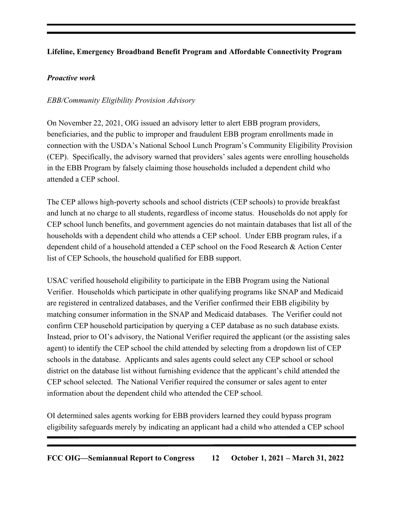#### **Lifeline, Emergency Broadband Benefit Program and Affordable Connectivity Program**

#### *Proactive work*

#### *EBB/Community Eligibility Provision Advisory*

On November 22, 2021, OIG issued an advisory letter to alert EBB program providers, beneficiaries, and the public to improper and fraudulent EBB program enrollments made in connection with the USDA's National School Lunch Program's Community Eligibility Provision (CEP). Specifically, the advisory warned that providers' sales agents were enrolling households in the EBB Program by falsely claiming those households included a dependent child who attended a CEP school.

The CEP allows high-poverty schools and school districts (CEP schools) to provide breakfast and lunch at no charge to all students, regardless of income status. Households do not apply for CEP school lunch benefits, and government agencies do not maintain databases that list all of the households with a dependent child who attends a CEP school. Under EBB program rules, if a dependent child of a household attended a CEP school on the Food Research & Action Center list of CEP Schools, the household qualified for EBB support.

USAC verified household eligibility to participate in the EBB Program using the National Verifier. Households which participate in other qualifying programs like SNAP and Medicaid are registered in centralized databases, and the Verifier confirmed their EBB eligibility by matching consumer information in the SNAP and Medicaid databases. The Verifier could not confirm CEP household participation by querying a CEP database as no such database exists. Instead, prior to OI's advisory, the National Verifier required the applicant (or the assisting sales agent) to identify the CEP school the child attended by selecting from a dropdown list of CEP schools in the database. Applicants and sales agents could select any CEP school or school district on the database list without furnishing evidence that the applicant's child attended the CEP school selected. The National Verifier required the consumer or sales agent to enter information about the dependent child who attended the CEP school.

OI determined sales agents working for EBB providers learned they could bypass program eligibility safeguards merely by indicating an applicant had a child who attended a CEP school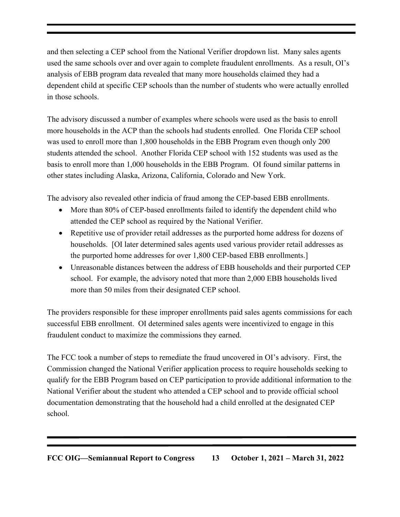and then selecting a CEP school from the National Verifier dropdown list. Many sales agents used the same schools over and over again to complete fraudulent enrollments. As a result, OI's analysis of EBB program data revealed that many more households claimed they had a dependent child at specific CEP schools than the number of students who were actually enrolled in those schools.

The advisory discussed a number of examples where schools were used as the basis to enroll more households in the ACP than the schools had students enrolled. One Florida CEP school was used to enroll more than 1,800 households in the EBB Program even though only 200 students attended the school. Another Florida CEP school with 152 students was used as the basis to enroll more than 1,000 households in the EBB Program. OI found similar patterns in other states including Alaska, Arizona, California, Colorado and New York.

The advisory also revealed other indicia of fraud among the CEP-based EBB enrollments.

- More than 80% of CEP-based enrollments failed to identify the dependent child who attended the CEP school as required by the National Verifier.
- Repetitive use of provider retail addresses as the purported home address for dozens of households. [OI later determined sales agents used various provider retail addresses as the purported home addresses for over 1,800 CEP-based EBB enrollments.]
- Unreasonable distances between the address of EBB households and their purported CEP school. For example, the advisory noted that more than 2,000 EBB households lived more than 50 miles from their designated CEP school.

The providers responsible for these improper enrollments paid sales agents commissions for each successful EBB enrollment. OI determined sales agents were incentivized to engage in this fraudulent conduct to maximize the commissions they earned.

The FCC took a number of steps to remediate the fraud uncovered in OI's advisory. First, the Commission changed the National Verifier application process to require households seeking to qualify for the EBB Program based on CEP participation to provide additional information to the National Verifier about the student who attended a CEP school and to provide official school documentation demonstrating that the household had a child enrolled at the designated CEP school.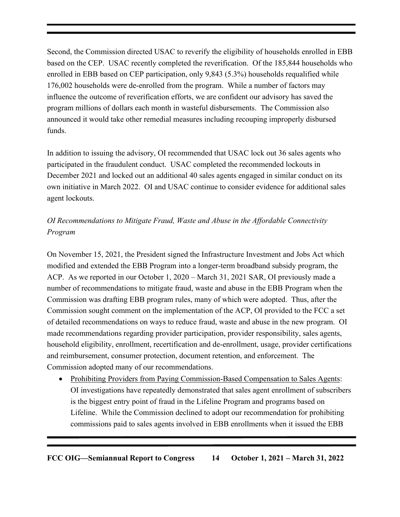Second, the Commission directed USAC to reverify the eligibility of households enrolled in EBB based on the CEP. USAC recently completed the reverification. Of the 185,844 households who enrolled in EBB based on CEP participation, only 9,843 (5.3%) households requalified while 176,002 households were de-enrolled from the program. While a number of factors may influence the outcome of reverification efforts, we are confident our advisory has saved the program millions of dollars each month in wasteful disbursements. The Commission also announced it would take other remedial measures including recouping improperly disbursed funds.

In addition to issuing the advisory, OI recommended that USAC lock out 36 sales agents who participated in the fraudulent conduct. USAC completed the recommended lockouts in December 2021 and locked out an additional 40 sales agents engaged in similar conduct on its own initiative in March 2022. OI and USAC continue to consider evidence for additional sales agent lockouts.

## *OI Recommendations to Mitigate Fraud, Waste and Abuse in the Affordable Connectivity Program*

On November 15, 2021, the President signed the Infrastructure Investment and Jobs Act which modified and extended the EBB Program into a longer-term broadband subsidy program, the ACP. As we reported in our October 1, 2020 – March 31, 2021 SAR, OI previously made a number of recommendations to mitigate fraud, waste and abuse in the EBB Program when the Commission was drafting EBB program rules, many of which were adopted. Thus, after the Commission sought comment on the implementation of the ACP, OI provided to the FCC a set of detailed recommendations on ways to reduce fraud, waste and abuse in the new program. OI made recommendations regarding provider participation, provider responsibility, sales agents, household eligibility, enrollment, recertification and de-enrollment, usage, provider certifications and reimbursement, consumer protection, document retention, and enforcement. The Commission adopted many of our recommendations.

• Prohibiting Providers from Paying Commission-Based Compensation to Sales Agents: OI investigations have repeatedly demonstrated that sales agent enrollment of subscribers is the biggest entry point of fraud in the Lifeline Program and programs based on Lifeline. While the Commission declined to adopt our recommendation for prohibiting commissions paid to sales agents involved in EBB enrollments when it issued the EBB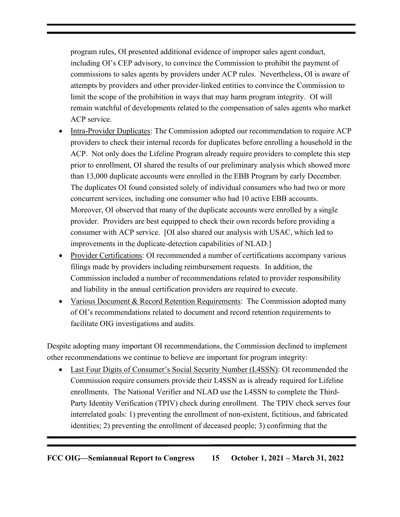program rules, OI presented additional evidence of improper sales agent conduct, including OI's CEP advisory, to convince the Commission to prohibit the payment of commissions to sales agents by providers under ACP rules. Nevertheless, OI is aware of attempts by providers and other provider-linked entities to convince the Commission to limit the scope of the prohibition in ways that may harm program integrity. OI will remain watchful of developments related to the compensation of sales agents who market ACP service.

- Intra-Provider Duplicates: The Commission adopted our recommendation to require ACP providers to check their internal records for duplicates before enrolling a household in the ACP. Not only does the Lifeline Program already require providers to complete this step prior to enrollment, OI shared the results of our preliminary analysis which showed more than 13,000 duplicate accounts were enrolled in the EBB Program by early December. The duplicates OI found consisted solely of individual consumers who had two or more concurrent services, including one consumer who had 10 active EBB accounts. Moreover, OI observed that many of the duplicate accounts were enrolled by a single provider. Providers are best equipped to check their own records before providing a consumer with ACP service. [OI also shared our analysis with USAC, which led to improvements in the duplicate-detection capabilities of NLAD.]
- Provider Certifications: OI recommended a number of certifications accompany various filings made by providers including reimbursement requests. In addition, the Commission included a number of recommendations related to provider responsibility and liability in the annual certification providers are required to execute.
- Various Document & Record Retention Requirements: The Commission adopted many of OI's recommendations related to document and record retention requirements to facilitate OIG investigations and audits.

Despite adopting many important OI recommendations, the Commission declined to implement other recommendations we continue to believe are important for program integrity:

• Last Four Digits of Consumer's Social Security Number (L4SSN): OI recommended the Commission require consumers provide their L4SSN as is already required for Lifeline enrollments. The National Verifier and NLAD use the L4SSN to complete the Third-Party Identity Verification (TPIV) check during enrollment. The TPIV check serves four interrelated goals: 1) preventing the enrollment of non-existent, fictitious, and fabricated identities; 2) preventing the enrollment of deceased people; 3) confirming that the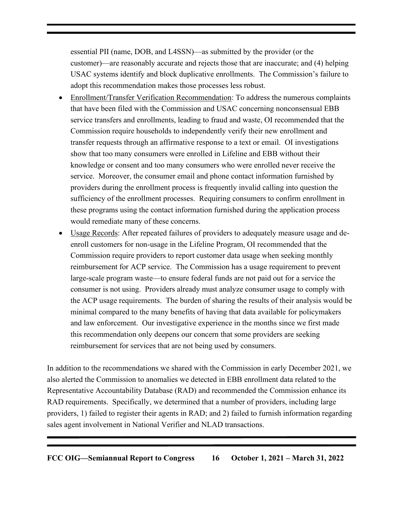essential PII (name, DOB, and L4SSN)—as submitted by the provider (or the customer)—are reasonably accurate and rejects those that are inaccurate; and (4) helping USAC systems identify and block duplicative enrollments. The Commission's failure to adopt this recommendation makes those processes less robust.

- Enrollment/Transfer Verification Recommendation: To address the numerous complaints that have been filed with the Commission and USAC concerning nonconsensual EBB service transfers and enrollments, leading to fraud and waste, OI recommended that the Commission require households to independently verify their new enrollment and transfer requests through an affirmative response to a text or email. OI investigations show that too many consumers were enrolled in Lifeline and EBB without their knowledge or consent and too many consumers who were enrolled never receive the service. Moreover, the consumer email and phone contact information furnished by providers during the enrollment process is frequently invalid calling into question the sufficiency of the enrollment processes. Requiring consumers to confirm enrollment in these programs using the contact information furnished during the application process would remediate many of these concerns.
- Usage Records: After repeated failures of providers to adequately measure usage and deenroll customers for non-usage in the Lifeline Program, OI recommended that the Commission require providers to report customer data usage when seeking monthly reimbursement for ACP service. The Commission has a usage requirement to prevent large-scale program waste—to ensure federal funds are not paid out for a service the consumer is not using. Providers already must analyze consumer usage to comply with the ACP usage requirements. The burden of sharing the results of their analysis would be minimal compared to the many benefits of having that data available for policymakers and law enforcement. Our investigative experience in the months since we first made this recommendation only deepens our concern that some providers are seeking reimbursement for services that are not being used by consumers.

In addition to the recommendations we shared with the Commission in early December 2021, we also alerted the Commission to anomalies we detected in EBB enrollment data related to the Representative Accountability Database (RAD) and recommended the Commission enhance its RAD requirements. Specifically, we determined that a number of providers, including large providers, 1) failed to register their agents in RAD; and 2) failed to furnish information regarding sales agent involvement in National Verifier and NLAD transactions.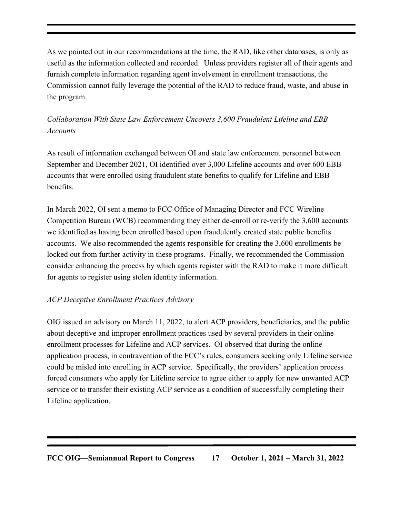As we pointed out in our recommendations at the time, the RAD, like other databases, is only as useful as the information collected and recorded. Unless providers register all of their agents and furnish complete information regarding agent involvement in enrollment transactions, the Commission cannot fully leverage the potential of the RAD to reduce fraud, waste, and abuse in the program.

## *Collaboration With State Law Enforcement Uncovers 3,600 Fraudulent Lifeline and EBB Accounts*

As result of information exchanged between OI and state law enforcement personnel between September and December 2021, OI identified over 3,000 Lifeline accounts and over 600 EBB accounts that were enrolled using fraudulent state benefits to qualify for Lifeline and EBB benefits.

In March 2022, OI sent a memo to FCC Office of Managing Director and FCC Wireline Competition Bureau (WCB) recommending they either de-enroll or re-verify the 3,600 accounts we identified as having been enrolled based upon fraudulently created state public benefits accounts. We also recommended the agents responsible for creating the 3,600 enrollments be locked out from further activity in these programs. Finally, we recommended the Commission consider enhancing the process by which agents register with the RAD to make it more difficult for agents to register using stolen identity information.

#### *ACP Deceptive Enrollment Practices Advisory*

OIG issued an advisory on March 11, 2022, to alert ACP providers, beneficiaries, and the public about deceptive and improper enrollment practices used by several providers in their online enrollment processes for Lifeline and ACP services. OI observed that during the online application process, in contravention of the FCC's rules, consumers seeking only Lifeline service could be misled into enrolling in ACP service. Specifically, the providers' application process forced consumers who apply for Lifeline service to agree either to apply for new unwanted ACP service or to transfer their existing ACP service as a condition of successfully completing their Lifeline application.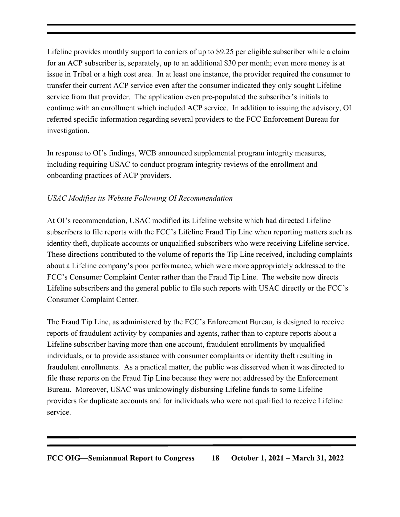Lifeline provides monthly support to carriers of up to \$9.25 per eligible subscriber while a claim for an ACP subscriber is, separately, up to an additional \$30 per month; even more money is at issue in Tribal or a high cost area. In at least one instance, the provider required the consumer to transfer their current ACP service even after the consumer indicated they only sought Lifeline service from that provider. The application even pre-populated the subscriber's initials to continue with an enrollment which included ACP service. In addition to issuing the advisory, OI referred specific information regarding several providers to the FCC Enforcement Bureau for investigation.

In response to OI's findings, WCB announced supplemental program integrity measures, including requiring USAC to conduct program integrity reviews of the enrollment and onboarding practices of ACP providers.

#### *USAC Modifies its Website Following OI Recommendation*

At OI's recommendation, USAC modified its Lifeline website which had directed Lifeline subscribers to file reports with the FCC's Lifeline Fraud Tip Line when reporting matters such as identity theft, duplicate accounts or unqualified subscribers who were receiving Lifeline service. These directions contributed to the volume of reports the Tip Line received, including complaints about a Lifeline company's poor performance, which were more appropriately addressed to the FCC's Consumer Complaint Center rather than the Fraud Tip Line. The website now directs Lifeline subscribers and the general public to file such reports with USAC directly or the FCC's Consumer Complaint Center.

The Fraud Tip Line, as administered by the FCC's Enforcement Bureau, is designed to receive reports of fraudulent activity by companies and agents, rather than to capture reports about a Lifeline subscriber having more than one account, fraudulent enrollments by unqualified individuals, or to provide assistance with consumer complaints or identity theft resulting in fraudulent enrollments. As a practical matter, the public was disserved when it was directed to file these reports on the Fraud Tip Line because they were not addressed by the Enforcement Bureau. Moreover, USAC was unknowingly disbursing Lifeline funds to some Lifeline providers for duplicate accounts and for individuals who were not qualified to receive Lifeline service.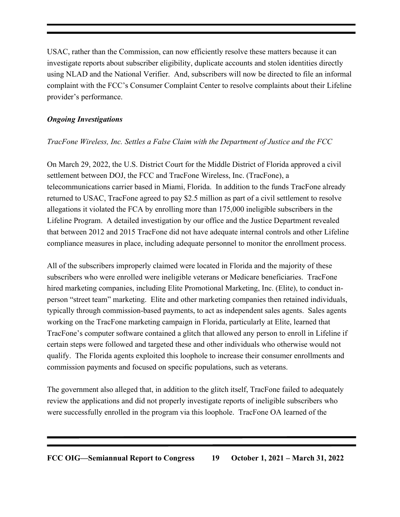USAC, rather than the Commission, can now efficiently resolve these matters because it can investigate reports about subscriber eligibility, duplicate accounts and stolen identities directly using NLAD and the National Verifier. And, subscribers will now be directed to file an informal complaint with the FCC's Consumer Complaint Center to resolve complaints about their Lifeline provider's performance.

#### *Ongoing Investigations*

#### *TracFone Wireless, Inc. Settles a False Claim with the Department of Justice and the FCC*

On March 29, 2022, the U.S. District Court for the Middle District of Florida approved a civil settlement between DOJ, the FCC and TracFone Wireless, Inc. (TracFone), a telecommunications carrier based in Miami, Florida. In addition to the funds TracFone already returned to USAC, TracFone agreed to pay \$2.5 million as part of a civil settlement to resolve allegations it violated the FCA by enrolling more than 175,000 ineligible subscribers in the Lifeline Program. A detailed investigation by our office and the Justice Department revealed that between 2012 and 2015 TracFone did not have adequate internal controls and other Lifeline compliance measures in place, including adequate personnel to monitor the enrollment process.

All of the subscribers improperly claimed were located in Florida and the majority of these subscribers who were enrolled were ineligible veterans or Medicare beneficiaries. TracFone hired marketing companies, including Elite Promotional Marketing, Inc. (Elite), to conduct inperson "street team" marketing. Elite and other marketing companies then retained individuals, typically through commission-based payments, to act as independent sales agents. Sales agents working on the TracFone marketing campaign in Florida, particularly at Elite, learned that TracFone's computer software contained a glitch that allowed any person to enroll in Lifeline if certain steps were followed and targeted these and other individuals who otherwise would not qualify. The Florida agents exploited this loophole to increase their consumer enrollments and commission payments and focused on specific populations, such as veterans.

The government also alleged that, in addition to the glitch itself, TracFone failed to adequately review the applications and did not properly investigate reports of ineligible subscribers who were successfully enrolled in the program via this loophole. TracFone OA learned of the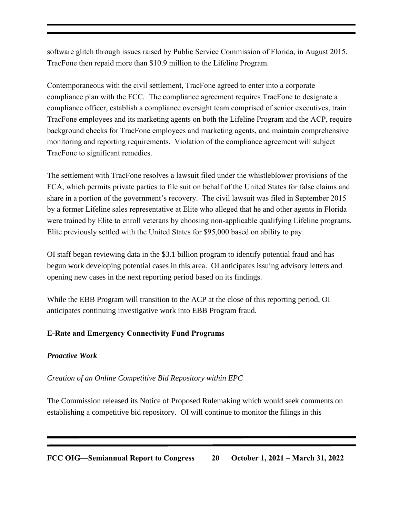software glitch through issues raised by Public Service Commission of Florida, in August 2015. TracFone then repaid more than \$10.9 million to the Lifeline Program.

Contemporaneous with the civil settlement, TracFone agreed to enter into a corporate compliance plan with the FCC. The compliance agreement requires TracFone to designate a compliance officer, establish a compliance oversight team comprised of senior executives, train TracFone employees and its marketing agents on both the Lifeline Program and the ACP, require background checks for TracFone employees and marketing agents, and maintain comprehensive monitoring and reporting requirements. Violation of the compliance agreement will subject TracFone to significant remedies.

The settlement with TracFone resolves a lawsuit filed under the whistleblower provisions of the FCA, which permits private parties to file suit on behalf of the United States for false claims and share in a portion of the government's recovery. The civil lawsuit was filed in September 2015 by a former Lifeline sales representative at Elite who alleged that he and other agents in Florida were trained by Elite to enroll veterans by choosing non-applicable qualifying Lifeline programs. Elite previously settled with the United States for \$95,000 based on ability to pay.

OI staff began reviewing data in the \$3.1 billion program to identify potential fraud and has begun work developing potential cases in this area. OI anticipates issuing advisory letters and opening new cases in the next reporting period based on its findings.

While the EBB Program will transition to the ACP at the close of this reporting period, OI anticipates continuing investigative work into EBB Program fraud.

#### **E-Rate and Emergency Connectivity Fund Programs**

#### *Proactive Work*

#### *Creation of an Online Competitive Bid Repository within EPC*

The Commission released its Notice of Proposed Rulemaking which would seek comments on establishing a competitive bid repository. OI will continue to monitor the filings in this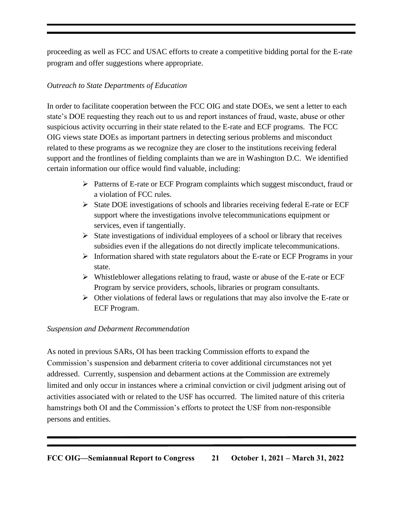proceeding as well as FCC and USAC efforts to create a competitive bidding portal for the E-rate program and offer suggestions where appropriate.

#### *Outreach to State Departments of Education*

In order to facilitate cooperation between the FCC OIG and state DOEs, we sent a letter to each state's DOE requesting they reach out to us and report instances of fraud, waste, abuse or other suspicious activity occurring in their state related to the E-rate and ECF programs. The FCC OIG views state DOEs as important partners in detecting serious problems and misconduct related to these programs as we recognize they are closer to the institutions receiving federal support and the frontlines of fielding complaints than we are in Washington D.C. We identified certain information our office would find valuable, including:

- ➢ Patterns of E-rate or ECF Program complaints which suggest misconduct, fraud or a violation of FCC rules.
- ➢ State DOE investigations of schools and libraries receiving federal E-rate or ECF support where the investigations involve telecommunications equipment or services, even if tangentially.
- $\triangleright$  State investigations of individual employees of a school or library that receives subsidies even if the allegations do not directly implicate telecommunications.
- ➢ Information shared with state regulators about the E-rate or ECF Programs in your state.
- ➢ Whistleblower allegations relating to fraud, waste or abuse of the E-rate or ECF Program by service providers, schools, libraries or program consultants.
- ➢ Other violations of federal laws or regulations that may also involve the E-rate or ECF Program.

#### *Suspension and Debarment Recommendation*

As noted in previous SARs, OI has been tracking Commission efforts to expand the Commission's suspension and debarment criteria to cover additional circumstances not yet addressed. Currently, suspension and debarment actions at the Commission are extremely limited and only occur in instances where a criminal conviction or civil judgment arising out of activities associated with or related to the USF has occurred. The limited nature of this criteria hamstrings both OI and the Commission's efforts to protect the USF from non-responsible persons and entities.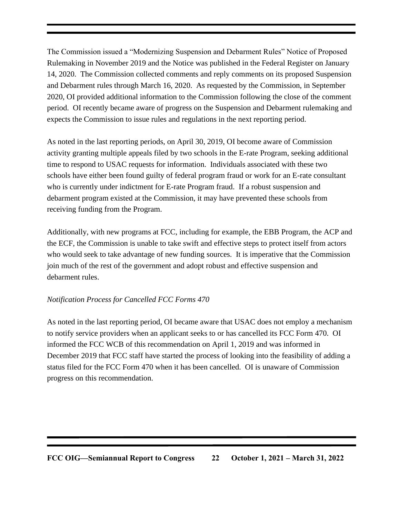The Commission issued a "Modernizing Suspension and Debarment Rules" Notice of Proposed Rulemaking in November 2019 and the Notice was published in the Federal Register on January 14, 2020. The Commission collected comments and reply comments on its proposed Suspension and Debarment rules through March 16, 2020. As requested by the Commission, in September 2020, OI provided additional information to the Commission following the close of the comment period. OI recently became aware of progress on the Suspension and Debarment rulemaking and expects the Commission to issue rules and regulations in the next reporting period.

As noted in the last reporting periods, on April 30, 2019, OI become aware of Commission activity granting multiple appeals filed by two schools in the E-rate Program, seeking additional time to respond to USAC requests for information. Individuals associated with these two schools have either been found guilty of federal program fraud or work for an E-rate consultant who is currently under indictment for E-rate Program fraud. If a robust suspension and debarment program existed at the Commission, it may have prevented these schools from receiving funding from the Program.

Additionally, with new programs at FCC, including for example, the EBB Program, the ACP and the ECF, the Commission is unable to take swift and effective steps to protect itself from actors who would seek to take advantage of new funding sources. It is imperative that the Commission join much of the rest of the government and adopt robust and effective suspension and debarment rules.

#### *Notification Process for Cancelled FCC Forms 470*

As noted in the last reporting period, OI became aware that USAC does not employ a mechanism to notify service providers when an applicant seeks to or has cancelled its FCC Form 470. OI informed the FCC WCB of this recommendation on April 1, 2019 and was informed in December 2019 that FCC staff have started the process of looking into the feasibility of adding a status filed for the FCC Form 470 when it has been cancelled. OI is unaware of Commission progress on this recommendation.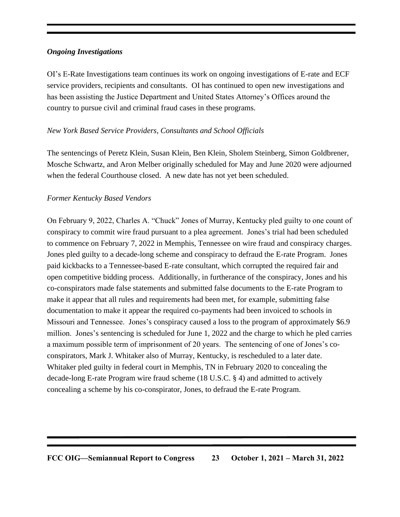#### *Ongoing Investigations*

OI's E-Rate Investigations team continues its work on ongoing investigations of E-rate and ECF service providers, recipients and consultants. OI has continued to open new investigations and has been assisting the Justice Department and United States Attorney's Offices around the country to pursue civil and criminal fraud cases in these programs.

#### *New York Based Service Providers, Consultants and School Officials*

The sentencings of Peretz Klein, Susan Klein, Ben Klein, Sholem Steinberg, Simon Goldbrener, Mosche Schwartz, and Aron Melber originally scheduled for May and June 2020 were adjourned when the federal Courthouse closed. A new date has not yet been scheduled.

#### *Former Kentucky Based Vendors*

On February 9, 2022, Charles A. "Chuck" Jones of Murray, Kentucky pled guilty to one count of conspiracy to commit wire fraud pursuant to a plea agreement. Jones's trial had been scheduled to commence on February 7, 2022 in Memphis, Tennessee on wire fraud and conspiracy charges. Jones pled guilty to a decade-long scheme and conspiracy to defraud the E-rate Program. Jones paid kickbacks to a Tennessee-based E-rate consultant, which corrupted the required fair and open competitive bidding process. Additionally, in furtherance of the conspiracy, Jones and his co-conspirators made false statements and submitted false documents to the E-rate Program to make it appear that all rules and requirements had been met, for example, submitting false documentation to make it appear the required co-payments had been invoiced to schools in Missouri and Tennessee. Jones's conspiracy caused a loss to the program of approximately \$6.9 million. Jones's sentencing is scheduled for June 1, 2022 and the charge to which he pled carries a maximum possible term of imprisonment of 20 years. The sentencing of one of Jones's coconspirators, Mark J. Whitaker also of Murray, Kentucky, is rescheduled to a later date. Whitaker pled guilty in federal court in Memphis, TN in February 2020 to concealing the decade-long E-rate Program wire fraud scheme (18 U.S.C. § 4) and admitted to actively concealing a scheme by his co-conspirator, Jones, to defraud the E-rate Program.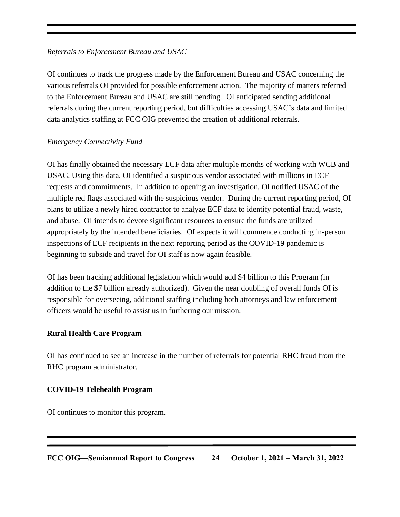#### *Referrals to Enforcement Bureau and USAC*

OI continues to track the progress made by the Enforcement Bureau and USAC concerning the various referrals OI provided for possible enforcement action. The majority of matters referred to the Enforcement Bureau and USAC are still pending. OI anticipated sending additional referrals during the current reporting period, but difficulties accessing USAC's data and limited data analytics staffing at FCC OIG prevented the creation of additional referrals.

#### *Emergency Connectivity Fund*

OI has finally obtained the necessary ECF data after multiple months of working with WCB and USAC. Using this data, OI identified a suspicious vendor associated with millions in ECF requests and commitments. In addition to opening an investigation, OI notified USAC of the multiple red flags associated with the suspicious vendor. During the current reporting period, OI plans to utilize a newly hired contractor to analyze ECF data to identify potential fraud, waste, and abuse. OI intends to devote significant resources to ensure the funds are utilized appropriately by the intended beneficiaries. OI expects it will commence conducting in-person inspections of ECF recipients in the next reporting period as the COVID-19 pandemic is beginning to subside and travel for OI staff is now again feasible.

OI has been tracking additional legislation which would add \$4 billion to this Program (in addition to the \$7 billion already authorized). Given the near doubling of overall funds OI is responsible for overseeing, additional staffing including both attorneys and law enforcement officers would be useful to assist us in furthering our mission.

#### **Rural Health Care Program**

OI has continued to see an increase in the number of referrals for potential RHC fraud from the RHC program administrator.

#### **COVID-19 Telehealth Program**

OI continues to monitor this program.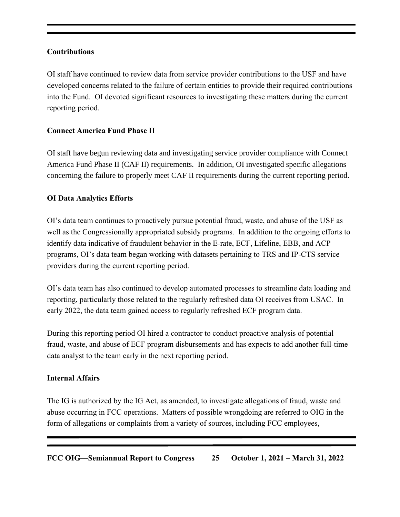#### **Contributions**

OI staff have continued to review data from service provider contributions to the USF and have developed concerns related to the failure of certain entities to provide their required contributions into the Fund. OI devoted significant resources to investigating these matters during the current reporting period.

#### **Connect America Fund Phase II**

OI staff have begun reviewing data and investigating service provider compliance with Connect America Fund Phase II (CAF II) requirements. In addition, OI investigated specific allegations concerning the failure to properly meet CAF II requirements during the current reporting period.

#### **OI Data Analytics Efforts**

OI's data team continues to proactively pursue potential fraud, waste, and abuse of the USF as well as the Congressionally appropriated subsidy programs. In addition to the ongoing efforts to identify data indicative of fraudulent behavior in the E-rate, ECF, Lifeline, EBB, and ACP programs, OI's data team began working with datasets pertaining to TRS and IP-CTS service providers during the current reporting period.

OI's data team has also continued to develop automated processes to streamline data loading and reporting, particularly those related to the regularly refreshed data OI receives from USAC. In early 2022, the data team gained access to regularly refreshed ECF program data.

During this reporting period OI hired a contractor to conduct proactive analysis of potential fraud, waste, and abuse of ECF program disbursements and has expects to add another full-time data analyst to the team early in the next reporting period.

#### **Internal Affairs**

The IG is authorized by the IG Act, as amended, to investigate allegations of fraud, waste and abuse occurring in FCC operations. Matters of possible wrongdoing are referred to OIG in the form of allegations or complaints from a variety of sources, including FCC employees,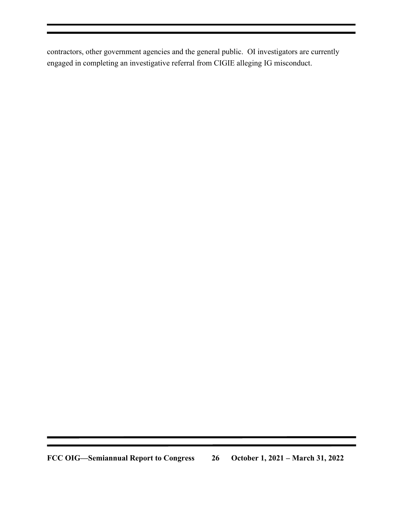contractors, other government agencies and the general public. OI investigators are currently engaged in completing an investigative referral from CIGIE alleging IG misconduct.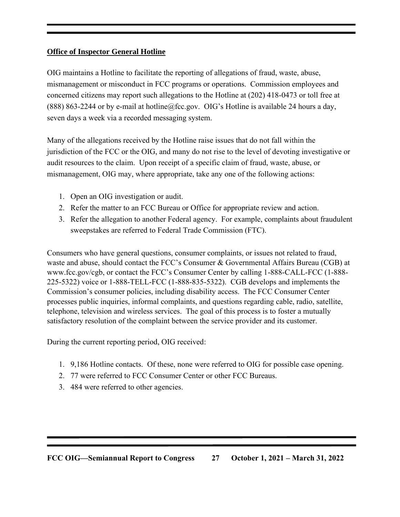#### **Office of Inspector General Hotline**

OIG maintains a Hotline to facilitate the reporting of allegations of fraud, waste, abuse, mismanagement or misconduct in FCC programs or operations. Commission employees and concerned citizens may report such allegations to the Hotline at (202) 418-0473 or toll free at (888) 863-2244 or by e-mail at hotline@fcc.gov. OIG's Hotline is available 24 hours a day, seven days a week via a recorded messaging system.

Many of the allegations received by the Hotline raise issues that do not fall within the jurisdiction of the FCC or the OIG, and many do not rise to the level of devoting investigative or audit resources to the claim. Upon receipt of a specific claim of fraud, waste, abuse, or mismanagement, OIG may, where appropriate, take any one of the following actions:

- 1. Open an OIG investigation or audit.
- 2. Refer the matter to an FCC Bureau or Office for appropriate review and action.
- 3. Refer the allegation to another Federal agency. For example, complaints about fraudulent sweepstakes are referred to Federal Trade Commission (FTC).

Consumers who have general questions, consumer complaints, or issues not related to fraud, waste and abuse, should contact the FCC's Consumer & Governmental Affairs Bureau (CGB) at www.fcc.gov/cgb, or contact the FCC's Consumer Center by calling 1-888-CALL-FCC (1-888- 225-5322) voice or 1-888-TELL-FCC (1-888-835-5322). CGB develops and implements the Commission's consumer policies, including disability access. The FCC Consumer Center processes public inquiries, informal complaints, and questions regarding cable, radio, satellite, telephone, television and wireless services. The goal of this process is to foster a mutually satisfactory resolution of the complaint between the service provider and its customer.

During the current reporting period, OIG received:

- 1. 9,186 Hotline contacts. Of these, none were referred to OIG for possible case opening.
- 2. 77 were referred to FCC Consumer Center or other FCC Bureaus.
- 3. 484 were referred to other agencies.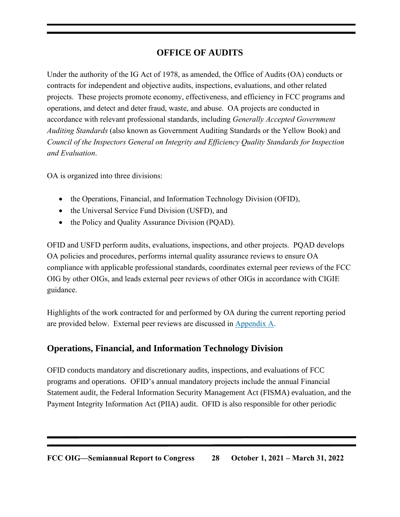## **OFFICE OF AUDITS**

Under the authority of the IG Act of 1978, as amended, the Office of Audits (OA) conducts or contracts for independent and objective audits, inspections, evaluations, and other related projects. These projects promote economy, effectiveness, and efficiency in FCC programs and operations, and detect and deter fraud, waste, and abuse. OA projects are conducted in accordance with relevant professional standards, including *Generally Accepted Government Auditing Standards* (also known as Government Auditing Standards or the Yellow Book) and *Council of the Inspectors General on Integrity and Efficiency Quality Standards for Inspection and Evaluation*.

OA is organized into three divisions:

- the Operations, Financial, and Information Technology Division (OFID),
- the Universal Service Fund Division (USFD), and
- the Policy and Quality Assurance Division (PQAD).

OFID and USFD perform audits, evaluations, inspections, and other projects. PQAD develops OA policies and procedures, performs internal quality assurance reviews to ensure OA compliance with applicable professional standards, coordinates external peer reviews of the FCC OIG by other OIGs, and leads external peer reviews of other OIGs in accordance with CIGIE guidance.

Highlights of the work contracted for and performed by OA during the current reporting period are provided below. External peer reviews are discussed in Appendix A.

## **Operations, Financial, and Information Technology Division**

OFID conducts mandatory and discretionary audits, inspections, and evaluations of FCC programs and operations. OFID's annual mandatory projects include the annual Financial Statement audit, the Federal Information Security Management Act (FISMA) evaluation, and the Payment Integrity Information Act (PIIA) audit. OFID is also responsible for other periodic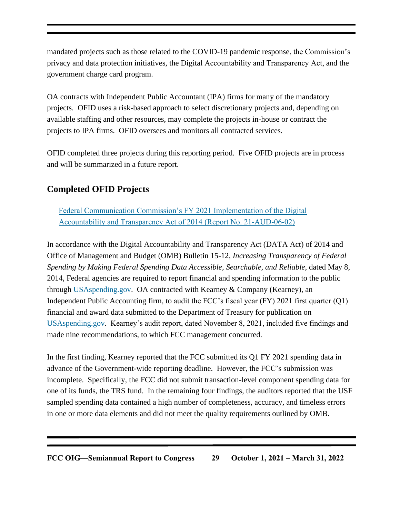mandated projects such as those related to the COVID-19 pandemic response, the Commission's privacy and data protection initiatives, the Digital Accountability and Transparency Act, and the government charge card program.

OA contracts with Independent Public Accountant (IPA) firms for many of the mandatory projects. OFID uses a risk-based approach to select discretionary projects and, depending on available staffing and other resources, may complete the projects in-house or contract the projects to IPA firms. OFID oversees and monitors all contracted services.

OFID completed three projects during this reporting period. Five OFID projects are in process and will be summarized in a future report.

## **Completed OFID Projects**

Federal Communication Commission's FY 2021 Implementation of the Digital Accountability and Transparency Act of 2014 (Report No. 21-AUD-06-02)

In accordance with the Digital Accountability and Transparency Act (DATA Act) of 2014 and Office of Management and Budget (OMB) Bulletin 15-12, *Increasing Transparency of Federal Spending by Making Federal Spending Data Accessible, Searchable, and Reliable*, dated May 8, 2014, Federal agencies are required to report financial and spending information to the public through USAspending.gov. OA contracted with Kearney & Company (Kearney), an Independent Public Accounting firm, to audit the FCC's fiscal year (FY) 2021 first quarter (Q1) financial and award data submitted to the Department of Treasury for publication on USAspending.gov. Kearney's audit report, dated November 8, 2021, included five findings and made nine recommendations, to which FCC management concurred.

In the first finding, Kearney reported that the FCC submitted its Q1 FY 2021 spending data in advance of the Government-wide reporting deadline. However, the FCC's submission was incomplete. Specifically, the FCC did not submit transaction-level component spending data for one of its funds, the TRS fund. In the remaining four findings, the auditors reported that the USF sampled spending data contained a high number of completeness, accuracy, and timeless errors in one or more data elements and did not meet the quality requirements outlined by OMB.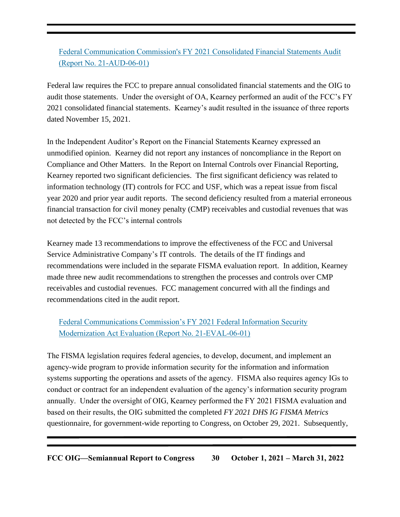## Federal Communication Commission's FY 2021 Consolidated Financial Statements Audit (Report No. 21-AUD-06-01)

Federal law requires the FCC to prepare annual consolidated financial statements and the OIG to audit those statements. Under the oversight of OA, Kearney performed an audit of the FCC's FY 2021 consolidated financial statements. Kearney's audit resulted in the issuance of three reports dated November 15, 2021.

In the Independent Auditor's Report on the Financial Statements Kearney expressed an unmodified opinion. Kearney did not report any instances of noncompliance in the Report on Compliance and Other Matters. In the Report on Internal Controls over Financial Reporting, Kearney reported two significant deficiencies. The first significant deficiency was related to information technology (IT) controls for FCC and USF, which was a repeat issue from fiscal year 2020 and prior year audit reports. The second deficiency resulted from a material erroneous financial transaction for civil money penalty (CMP) receivables and custodial revenues that was not detected by the FCC's internal controls

Kearney made 13 recommendations to improve the effectiveness of the FCC and Universal Service Administrative Company's IT controls. The details of the IT findings and recommendations were included in the separate FISMA evaluation report. In addition, Kearney made three new audit recommendations to strengthen the processes and controls over CMP receivables and custodial revenues. FCC management concurred with all the findings and recommendations cited in the audit report.

## Federal Communications Commission's FY 2021 Federal Information Security Modernization Act Evaluation (Report No. 21-EVAL-06-01)

The FISMA legislation requires federal agencies, to develop, document, and implement an agency-wide program to provide information security for the information and information systems supporting the operations and assets of the agency. FISMA also requires agency IGs to conduct or contract for an independent evaluation of the agency's information security program annually. Under the oversight of OIG, Kearney performed the FY 2021 FISMA evaluation and based on their results, the OIG submitted the completed *FY 2021 DHS IG FISMA Metrics*  questionnaire, for government-wide reporting to Congress, on October 29, 2021. Subsequently,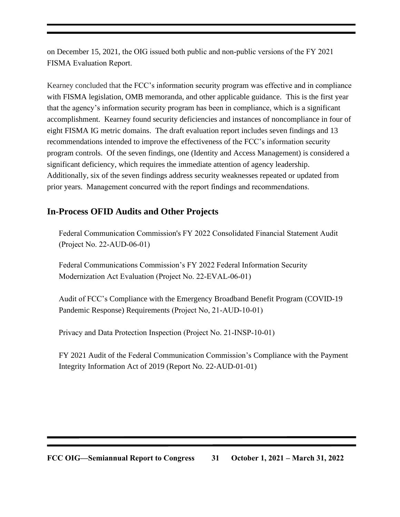on December 15, 2021, the OIG issued both public and non-public versions of the FY 2021 FISMA Evaluation Report.

Kearney concluded that the FCC's information security program was effective and in compliance with FISMA legislation, OMB memoranda, and other applicable guidance. This is the first year that the agency's information security program has been in compliance, which is a significant accomplishment. Kearney found security deficiencies and instances of noncompliance in four of eight FISMA IG metric domains. The draft evaluation report includes seven findings and 13 recommendations intended to improve the effectiveness of the FCC's information security program controls. Of the seven findings, one (Identity and Access Management) is considered a significant deficiency, which requires the immediate attention of agency leadership. Additionally, six of the seven findings address security weaknesses repeated or updated from prior years. Management concurred with the report findings and recommendations.

## **In-Process OFID Audits and Other Projects**

Federal Communication Commission's FY 2022 Consolidated Financial Statement Audit (Project No. 22-AUD-06-01)

Federal Communications Commission's FY 2022 Federal Information Security Modernization Act Evaluation (Project No. 22-EVAL-06-01)

Audit of FCC's Compliance with the Emergency Broadband Benefit Program (COVID-19 Pandemic Response) Requirements (Project No, 21-AUD-10-01)

Privacy and Data Protection Inspection (Project No. 21-INSP-10-01)

FY 2021 Audit of the Federal Communication Commission's Compliance with the Payment Integrity Information Act of 2019 (Report No. 22-AUD-01-01)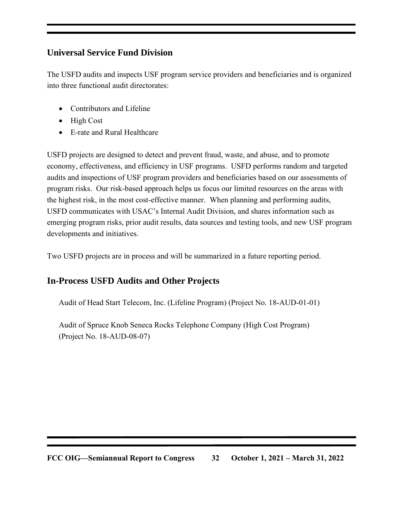## **Universal Service Fund Division**

The USFD audits and inspects USF program service providers and beneficiaries and is organized into three functional audit directorates:

- Contributors and Lifeline
- High Cost
- E-rate and Rural Healthcare

USFD projects are designed to detect and prevent fraud, waste, and abuse, and to promote economy, effectiveness, and efficiency in USF programs. USFD performs random and targeted audits and inspections of USF program providers and beneficiaries based on our assessments of program risks. Our risk-based approach helps us focus our limited resources on the areas with the highest risk, in the most cost-effective manner. When planning and performing audits, USFD communicates with USAC's Internal Audit Division, and shares information such as emerging program risks, prior audit results, data sources and testing tools, and new USF program developments and initiatives.

Two USFD projects are in process and will be summarized in a future reporting period.

## **In-Process USFD Audits and Other Projects**

Audit of Head Start Telecom, Inc. (Lifeline Program) (Project No. 18-AUD-01-01)

Audit of Spruce Knob Seneca Rocks Telephone Company (High Cost Program) (Project No. 18-AUD-08-07)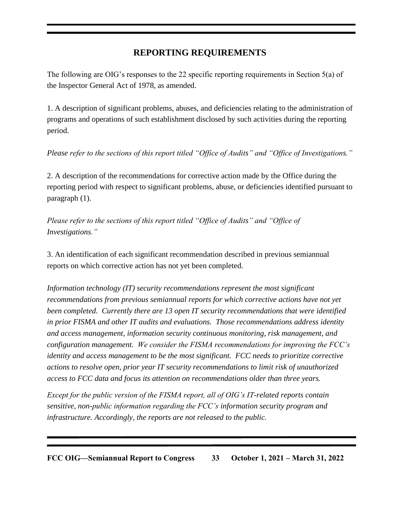## **REPORTING REQUIREMENTS**

The following are OIG's responses to the 22 specific reporting requirements in Section 5(a) of the Inspector General Act of 1978, as amended.

1. A description of significant problems, abuses, and deficiencies relating to the administration of programs and operations of such establishment disclosed by such activities during the reporting period.

*Please refer to the sections of this report titled "Office of Audits" and "Office of Investigations."*

2. A description of the recommendations for corrective action made by the Office during the reporting period with respect to significant problems, abuse, or deficiencies identified pursuant to paragraph (1).

*Please refer to the sections of this report titled "Office of Audits" and "Office of Investigations."*

3. An identification of each significant recommendation described in previous semiannual reports on which corrective action has not yet been completed.

*Information technology (IT) security recommendations represent the most significant recommendations from previous semiannual reports for which corrective actions have not yet been completed. Currently there are 13 open IT security recommendations that were identified in prior FISMA and other IT audits and evaluations. Those recommendations address identity and access management, information security continuous monitoring, risk management, and configuration management. We consider the FISMA recommendations for improving the FCC's identity and access management to be the most significant. FCC needs to prioritize corrective actions to resolve open, prior year IT security recommendations to limit risk of unauthorized access to FCC data and focus its attention on recommendations older than three years.* 

*Except for the public version of the FISMA report, all of OIG's IT-related reports contain sensitive, non-public information regarding the FCC's information security program and infrastructure. Accordingly, the reports are not released to the public.*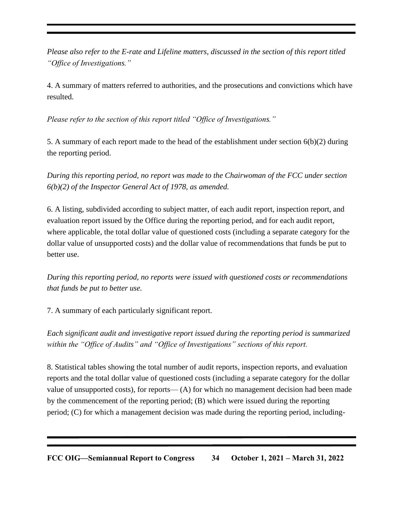*Please also refer to the E-rate and Lifeline matters, discussed in the section of this report titled "Office of Investigations."*

4. A summary of matters referred to authorities, and the prosecutions and convictions which have resulted.

*Please refer to the section of this report titled "Office of Investigations."*

5. A summary of each report made to the head of the establishment under section 6(b)(2) during the reporting period.

*During this reporting period, no report was made to the Chairwoman of the FCC under section 6(b)(2) of the Inspector General Act of 1978, as amended.* 

6. A listing, subdivided according to subject matter, of each audit report, inspection report, and evaluation report issued by the Office during the reporting period, and for each audit report, where applicable, the total dollar value of questioned costs (including a separate category for the dollar value of unsupported costs) and the dollar value of recommendations that funds be put to better use.

*During this reporting period, no reports were issued with questioned costs or recommendations that funds be put to better use.* 

7. A summary of each particularly significant report.

*Each significant audit and investigative report issued during the reporting period is summarized within the "Office of Audits" and "Office of Investigations" sections of this report.*

8. Statistical tables showing the total number of audit reports, inspection reports, and evaluation reports and the total dollar value of questioned costs (including a separate category for the dollar value of unsupported costs), for reports— $(A)$  for which no management decision had been made by the commencement of the reporting period; (B) which were issued during the reporting period; (C) for which a management decision was made during the reporting period, including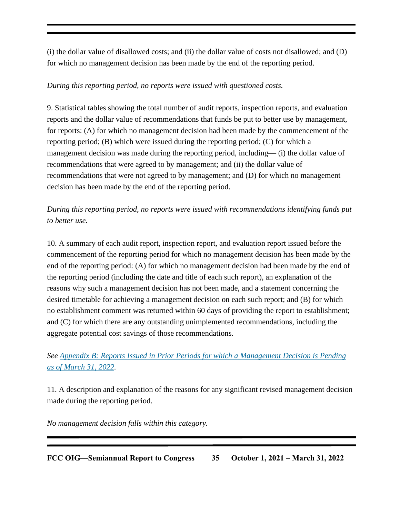(i) the dollar value of disallowed costs; and (ii) the dollar value of costs not disallowed; and (D) for which no management decision has been made by the end of the reporting period.

#### *During this reporting period, no reports were issued with questioned costs.*

9. Statistical tables showing the total number of audit reports, inspection reports, and evaluation reports and the dollar value of recommendations that funds be put to better use by management, for reports: (A) for which no management decision had been made by the commencement of the reporting period; (B) which were issued during the reporting period; (C) for which a management decision was made during the reporting period, including— (i) the dollar value of recommendations that were agreed to by management; and (ii) the dollar value of recommendations that were not agreed to by management; and (D) for which no management decision has been made by the end of the reporting period.

## *During this reporting period, no reports were issued with recommendations identifying funds put to better use.*

10. A summary of each audit report, inspection report, and evaluation report issued before the commencement of the reporting period for which no management decision has been made by the end of the reporting period: (A) for which no management decision had been made by the end of the reporting period (including the date and title of each such report), an explanation of the reasons why such a management decision has not been made, and a statement concerning the desired timetable for achieving a management decision on each such report; and (B) for which no establishment comment was returned within 60 days of providing the report to establishment; and (C) for which there are any outstanding unimplemented recommendations, including the aggregate potential cost savings of those recommendations.

## *See Appendix B: Reports Issued in Prior Periods for which a Management Decision is Pending as of March 31, 2022.*

11. A description and explanation of the reasons for any significant revised management decision made during the reporting period.

*No management decision falls within this category.*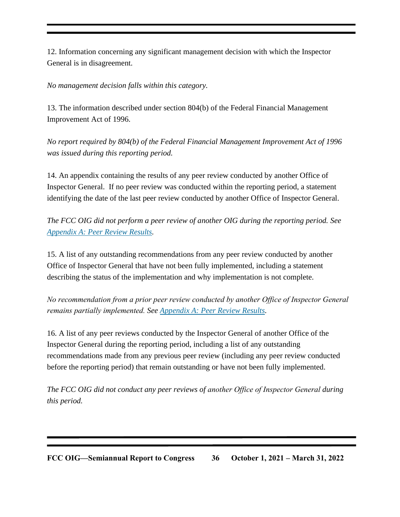12. Information concerning any significant management decision with which the Inspector General is in disagreement.

*No management decision falls within this category.* 

13. The information described under section 804(b) of the Federal Financial Management Improvement Act of 1996.

*No report required by 804(b) of the Federal Financial Management Improvement Act of 1996 was issued during this reporting period.* 

14. An appendix containing the results of any peer review conducted by another Office of Inspector General. If no peer review was conducted within the reporting period, a statement identifying the date of the last peer review conducted by another Office of Inspector General.

*The FCC OIG did not perform a peer review of another OIG during the reporting period. See Appendix A: Peer Review Results.*

15. A list of any outstanding recommendations from any peer review conducted by another Office of Inspector General that have not been fully implemented, including a statement describing the status of the implementation and why implementation is not complete.

*No recommendation from a prior peer review conducted by another Office of Inspector General remains partially implemented. See Appendix A: Peer Review Results.*

16. A list of any peer reviews conducted by the Inspector General of another Office of the Inspector General during the reporting period, including a list of any outstanding recommendations made from any previous peer review (including any peer review conducted before the reporting period) that remain outstanding or have not been fully implemented.

*The FCC OIG did not conduct any peer reviews of another Office of Inspector General during this period.*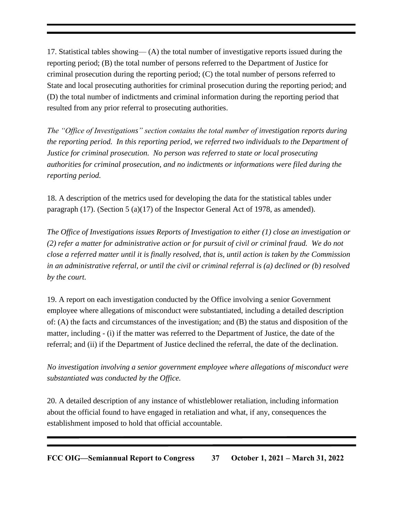17. Statistical tables showing— (A) the total number of investigative reports issued during the reporting period; (B) the total number of persons referred to the Department of Justice for criminal prosecution during the reporting period; (C) the total number of persons referred to State and local prosecuting authorities for criminal prosecution during the reporting period; and (D) the total number of indictments and criminal information during the reporting period that resulted from any prior referral to prosecuting authorities.

*The "Office of Investigations" section contains the total number of investigation reports during the reporting period. In this reporting period, we referred two individuals to the Department of Justice for criminal prosecution. No person was referred to state or local prosecuting authorities for criminal prosecution, and no indictments or informations were filed during the reporting period.* 

18. A description of the metrics used for developing the data for the statistical tables under paragraph (17). (Section 5 (a)(17) of the Inspector General Act of 1978, as amended).

*The Office of Investigations issues Reports of Investigation to either (1) close an investigation or (2) refer a matter for administrative action or for pursuit of civil or criminal fraud. We do not close a referred matter until it is finally resolved, that is, until action is taken by the Commission in an administrative referral, or until the civil or criminal referral is (a) declined or (b) resolved by the court.* 

19. A report on each investigation conducted by the Office involving a senior Government employee where allegations of misconduct were substantiated, including a detailed description of: (A) the facts and circumstances of the investigation; and (B) the status and disposition of the matter, including - (i) if the matter was referred to the Department of Justice, the date of the referral; and (ii) if the Department of Justice declined the referral, the date of the declination.

*No investigation involving a senior government employee where allegations of misconduct were substantiated was conducted by the Office.* 

20. A detailed description of any instance of whistleblower retaliation, including information about the official found to have engaged in retaliation and what, if any, consequences the establishment imposed to hold that official accountable.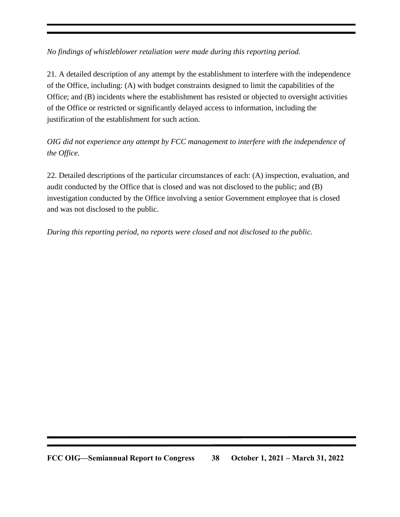## *No findings of whistleblower retaliation were made during this reporting period.*

21. A detailed description of any attempt by the establishment to interfere with the independence of the Office, including: (A) with budget constraints designed to limit the capabilities of the Office; and (B) incidents where the establishment has resisted or objected to oversight activities of the Office or restricted or significantly delayed access to information, including the justification of the establishment for such action.

*OIG did not experience any attempt by FCC management to interfere with the independence of the Office.* 

22. Detailed descriptions of the particular circumstances of each: (A) inspection, evaluation, and audit conducted by the Office that is closed and was not disclosed to the public; and (B) investigation conducted by the Office involving a senior Government employee that is closed and was not disclosed to the public.

*During this reporting period, no reports were closed and not disclosed to the public.*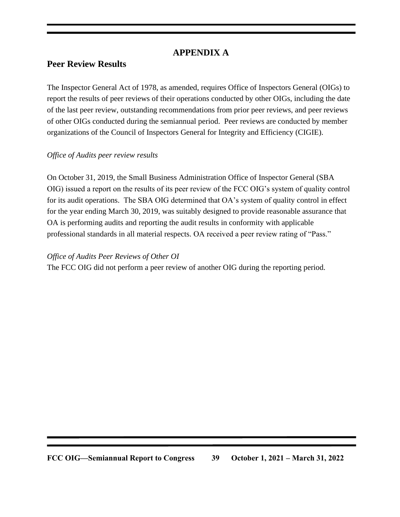## **APPENDIX A**

## **Peer Review Results**

The Inspector General Act of 1978, as amended, requires Office of Inspectors General (OIGs) to report the results of peer reviews of their operations conducted by other OIGs, including the date of the last peer review, outstanding recommendations from prior peer reviews, and peer reviews of other OIGs conducted during the semiannual period. Peer reviews are conducted by member organizations of the Council of Inspectors General for Integrity and Efficiency (CIGIE).

#### *Office of Audits peer review results*

On October 31, 2019, the Small Business Administration Office of Inspector General (SBA OIG) issued a report on the results of its peer review of the FCC OIG's system of quality control for its audit operations. The SBA OIG determined that OA's system of quality control in effect for the year ending March 30, 2019, was suitably designed to provide reasonable assurance that OA is performing audits and reporting the audit results in conformity with applicable professional standards in all material respects. OA received a peer review rating of "Pass."

#### *Office of Audits Peer Reviews of Other OI*

The FCC OIG did not perform a peer review of another OIG during the reporting period.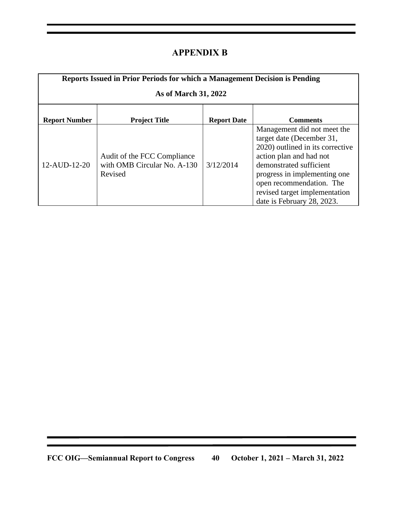## **APPENDIX B**

| <b>Reports Issued in Prior Periods for which a Management Decision is Pending</b><br>As of March 31, 2022 |                                                                       |                    |                                                                                                                                                                                                                                                                               |  |  |
|-----------------------------------------------------------------------------------------------------------|-----------------------------------------------------------------------|--------------------|-------------------------------------------------------------------------------------------------------------------------------------------------------------------------------------------------------------------------------------------------------------------------------|--|--|
| <b>Report Number</b>                                                                                      | <b>Project Title</b>                                                  | <b>Report Date</b> | <b>Comments</b>                                                                                                                                                                                                                                                               |  |  |
| 12-AUD-12-20                                                                                              | Audit of the FCC Compliance<br>with OMB Circular No. A-130<br>Revised | 3/12/2014          | Management did not meet the<br>target date (December 31,<br>2020) outlined in its corrective<br>action plan and had not<br>demonstrated sufficient<br>progress in implementing one<br>open recommendation. The<br>revised target implementation<br>date is February 28, 2023. |  |  |